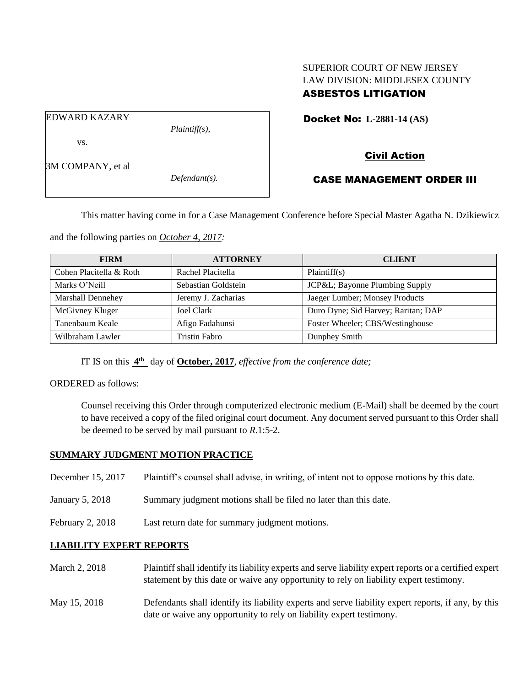## SUPERIOR COURT OF NEW JERSEY LAW DIVISION: MIDDLESEX COUNTY ASBESTOS LITIGATION

EDWARD KAZARY

vs.

*Plaintiff(s),*

Docket No: **L-2881-14 (AS)** 

### 3M COMPANY, et al

*Defendant(s).*

# Civil Action CASE MANAGEMENT ORDER III

This matter having come in for a Case Management Conference before Special Master Agatha N. Dzikiewicz

and the following parties on *October 4, 2017:*

| <b>FIRM</b>              | <b>ATTORNEY</b>      | <b>CLIENT</b>                       |
|--------------------------|----------------------|-------------------------------------|
| Cohen Placitella & Roth  | Rachel Placitella    | Plaintiff(s)                        |
| Marks O'Neill            | Sebastian Goldstein  | JCP&L Bayonne Plumbing Supply       |
| <b>Marshall Dennehey</b> | Jeremy J. Zacharias  | Jaeger Lumber; Monsey Products      |
| McGivney Kluger          | Joel Clark           | Duro Dyne; Sid Harvey; Raritan; DAP |
| Tanenbaum Keale          | Afigo Fadahunsi      | Foster Wheeler; CBS/Westinghouse    |
| Wilbraham Lawler         | <b>Tristin Fabro</b> | Dunphey Smith                       |

IT IS on this  $4^{\text{th}}$  day of **October, 2017**, *effective from the conference date*;

ORDERED as follows:

Counsel receiving this Order through computerized electronic medium (E-Mail) shall be deemed by the court to have received a copy of the filed original court document. Any document served pursuant to this Order shall be deemed to be served by mail pursuant to *R*.1:5-2.

#### **SUMMARY JUDGMENT MOTION PRACTICE**

- December 15, 2017 Plaintiff's counsel shall advise, in writing, of intent not to oppose motions by this date.
- January 5, 2018 Summary judgment motions shall be filed no later than this date.
- February 2, 2018 Last return date for summary judgment motions.

#### **LIABILITY EXPERT REPORTS**

- March 2, 2018 Plaintiff shall identify its liability experts and serve liability expert reports or a certified expert statement by this date or waive any opportunity to rely on liability expert testimony.
- May 15, 2018 Defendants shall identify its liability experts and serve liability expert reports, if any, by this date or waive any opportunity to rely on liability expert testimony.